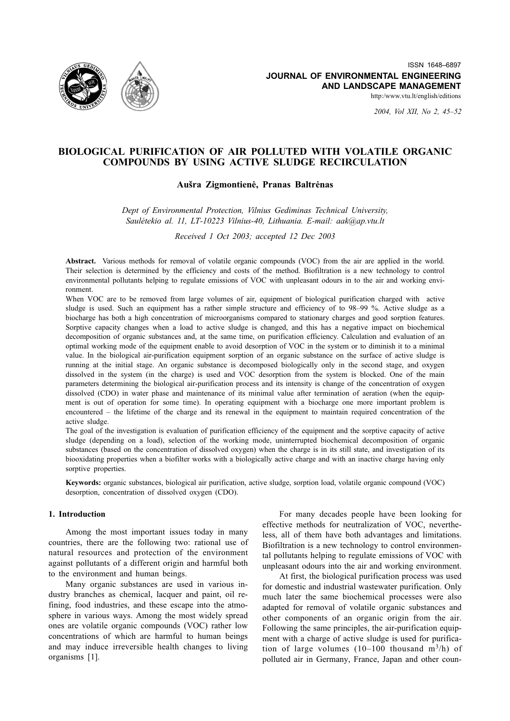

2004, Vol XII, No 2, 45-52

# BIOLOGICAL PURIFICATION OF AIR POLLUTED WITH VOLATILE ORGANIC COMPOUNDS BY USING ACTIVE SLUDGE RECIRCULATION

## Aušra Zigmontienė, Pranas Baltrėnas

Dept of Environmental Protection, Vilnius Gediminas Technical University, Saulėtekio al. 11, LT-10223 Vilnius-40, Lithuania. E-mail: aak@ap.vtu.lt

Received 1 Oct 2003; accepted 12 Dec 2003

Abstract. Various methods for removal of volatile organic compounds (VOC) from the air are applied in the world. Their selection is determined by the efficiency and costs of the method. Biofiltration is a new technology to control environmental pollutants helping to regulate emissions of VOC with unpleasant odours in to the air and working environment

When VOC are to be removed from large volumes of air, equipment of biological purification charged with active sludge is used. Such an equipment has a rather simple structure and efficiency of to 98–99 %. Active sludge as a biocharge has both a high concentration of microorganisms compared to stationary charges and good sorption features. Sorptive capacity changes when a load to active sludge is changed, and this has a negative impact on biochemical decomposition of organic substances and, at the same time, on purification efficiency. Calculation and evaluation of an optimal working mode of the equipment enable to avoid desorption of VOC in the system or to diminish it to a minimal value. In the biological air-purification equipment sorption of an organic substance on the surface of active sludge is running at the initial stage. An organic substance is decomposed biologically only in the second stage, and oxygen dissolved in the system (in the charge) is used and VOC desorption from the system is blocked. One of the main parameters determining the biological air-purification process and its intensity is change of the concentration of oxygen dissolved (CDO) in water phase and maintenance of its minimal value after termination of aeration (when the equipment is out of operation for some time). In operating equipment with a biocharge one more important problem is encountered – the lifetime of the charge and its renewal in the equipment to maintain required concentration of the active sludge.

The goal of the investigation is evaluation of purification efficiency of the equipment and the sorptive capacity of active sludge (depending on a load), selection of the working mode, uninterrupted biochemical decomposition of organic substances (based on the concentration of dissolved oxygen) when the charge is in its still state, and investigation of its biooxidating properties when a biofilter works with a biologically active charge and with an inactive charge having only sorptive properties.

Keywords: organic substances, biological air purification, active sludge, sorption load, volatile organic compound (VOC) desorption, concentration of dissolved oxygen (CDO).

## 1. Introduction

Among the most important issues today in many countries, there are the following two: rational use of natural resources and protection of the environment against pollutants of a different origin and harmful both to the environment and human beings.

Many organic substances are used in various industry branches as chemical, lacquer and paint, oil refining, food industries, and these escape into the atmosphere in various ways. Among the most widely spread ones are volatile organic compounds (VOC) rather low concentrations of which are harmful to human beings and may induce irreversible health changes to living organisms [1].

For many decades people have been looking for effective methods for neutralization of VOC, nevertheless, all of them have both advantages and limitations. Biofiltration is a new technology to control environmental pollutants helping to regulate emissions of VOC with unpleasant odours into the air and working environment.

At first, the biological purification process was used for domestic and industrial wastewater purification. Only much later the same biochemical processes were also adapted for removal of volatile organic substances and other components of an organic origin from the air. Following the same principles, the air-purification equipment with a charge of active sludge is used for purification of large volumes  $(10-100)$  thousand  $m^3/h$  of polluted air in Germany, France, Japan and other coun-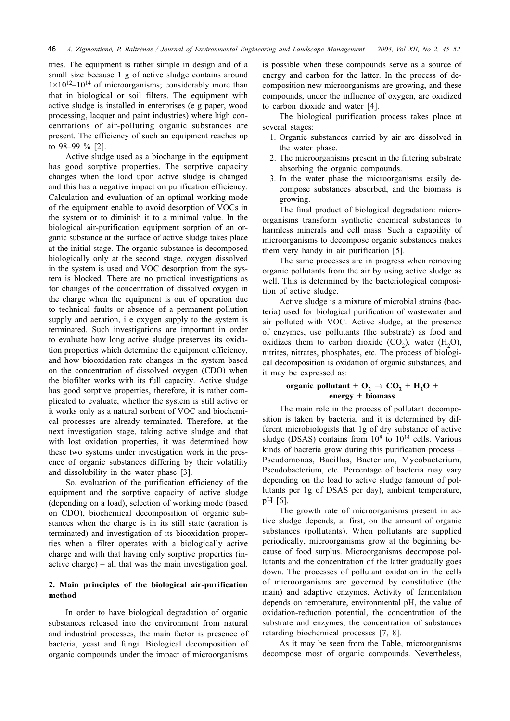tries. The equipment is rather simple in design and of a small size because 1 g of active sludge contains around  $1 \times 10^{12} - 10^{14}$  of microorganisms; considerably more than that in biological or soil filters. The equipment with active sludge is installed in enterprises (e g paper, wood processing, lacquer and paint industries) where high concentrations of air-polluting organic substances are present. The efficiency of such an equipment reaches up to 98-99 % [2].

Active sludge used as a biocharge in the equipment has good sorptive properties. The sorptive capacity changes when the load upon active sludge is changed and this has a negative impact on purification efficiency. Calculation and evaluation of an optimal working mode of the equipment enable to avoid desorption of VOCs in the system or to diminish it to a minimal value. In the biological air-purification equipment sorption of an organic substance at the surface of active sludge takes place at the initial stage. The organic substance is decomposed biologically only at the second stage, oxygen dissolved in the system is used and VOC desorption from the system is blocked. There are no practical investigations as for changes of the concentration of dissolved oxygen in the charge when the equipment is out of operation due to technical faults or absence of a permanent pollution supply and aeration, i e oxygen supply to the system is terminated. Such investigations are important in order to evaluate how long active sludge preserves its oxidation properties which determine the equipment efficiency, and how biooxidation rate changes in the system based on the concentration of dissolved oxygen (CDO) when the biofilter works with its full capacity. Active sludge has good sorptive properties, therefore, it is rather complicated to evaluate, whether the system is still active or it works only as a natural sorbent of VOC and biochemical processes are already terminated. Therefore, at the next investigation stage, taking active sludge and that with lost oxidation properties, it was determined how these two systems under investigation work in the presence of organic substances differing by their volatility and dissolubility in the water phase [3].

So, evaluation of the purification efficiency of the equipment and the sorptive capacity of active sludge (depending on a load), selection of working mode (based on CDO), biochemical decomposition of organic substances when the charge is in its still state (aeration is terminated) and investigation of its biooxidation properties when a filter operates with a biologically active charge and with that having only sorptive properties (inactive charge)  $-$  all that was the main investigation goal.

# 2. Main principles of the biological air-purification method

In order to have biological degradation of organic substances released into the environment from natural and industrial processes, the main factor is presence of bacteria, veast and fungi. Biological decomposition of organic compounds under the impact of microorganisms

is possible when these compounds serve as a source of energy and carbon for the latter. In the process of decomposition new microorganisms are growing, and these compounds, under the influence of oxygen, are oxidized to carbon dioxide and water [4].

The biological purification process takes place at several stages:

- 1. Organic substances carried by air are dissolved in the water phase.
- 2. The microorganisms present in the filtering substrate absorbing the organic compounds.
- 3. In the water phase the microorganisms easily decompose substances absorbed, and the biomass is growing.

The final product of biological degradation: microorganisms transform synthetic chemical substances to harmless minerals and cell mass. Such a capability of microorganisms to decompose organic substances makes them very handy in air purification [5].

The same processes are in progress when removing organic pollutants from the air by using active sludge as well. This is determined by the bacteriological composition of active sludge.

Active sludge is a mixture of microbial strains (bacteria) used for biological purification of wastewater and air polluted with VOC. Active sludge, at the presence of enzymes, use pollutants (the substrate) as food and oxidizes them to carbon dioxide  $(CO_2)$ , water  $(H_2O)$ , nitrites, nitrates, phosphates, etc. The process of biological decomposition is oxidation of organic substances, and it may be expressed as:

# organic pollutant + O<sub>2</sub>  $\rightarrow$  CO<sub>2</sub> + H<sub>2</sub>O +<br>energy + biomass

The main role in the process of pollutant decomposition is taken by bacteria, and it is determined by different microbiologists that 1g of dry substance of active sludge (DSAS) contains from  $10^8$  to  $10^{14}$  cells. Various kinds of bacteria grow during this purification process – Pseudomonas, Bacillus, Bacterium, Mycobacterium, Pseudobacterium, etc. Percentage of bacteria may vary depending on the load to active sludge (amount of pollutants per 1g of DSAS per day), ambient temperature, pH [6].

The growth rate of microorganisms present in active sludge depends, at first, on the amount of organic substances (pollutants). When pollutants are supplied periodically, microorganisms grow at the beginning because of food surplus. Microorganisms decompose pollutants and the concentration of the latter gradually goes down. The processes of pollutant oxidation in the cells of microorganisms are governed by constitutive (the main) and adaptive enzymes. Activity of fermentation depends on temperature, environmental pH, the value of oxidation-reduction potential, the concentration of the substrate and enzymes, the concentration of substances retarding biochemical processes [7, 8].

As it may be seen from the Table, microorganisms decompose most of organic compounds. Nevertheless,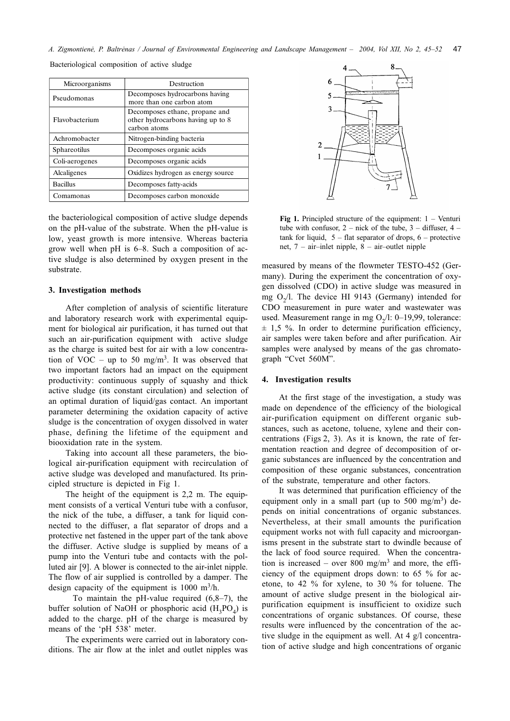| Microorganisms  | Destruction                                                                         |
|-----------------|-------------------------------------------------------------------------------------|
| Pseudomonas     | Decomposes hydrocarbons having<br>more than one carbon atom                         |
| Flavobacterium  | Decomposes ethane, propane and<br>other hydrocarbons having up to 8<br>carbon atoms |
| Achromobacter   | Nitrogen-binding bacteria                                                           |
| Sphareotilus    | Decomposes organic acids                                                            |
| Coli-aerogenes  | Decomposes organic acids                                                            |
| Alcaligenes     | Oxidizes hydrogen as energy source                                                  |
| <b>Bacillus</b> | Decomposes fatty-acids                                                              |
| Comamonas       | Decomposes carbon monoxide                                                          |

Bacteriological composition of active sludge

the bacteriological composition of active sludge depends on the pH-value of the substrate. When the pH-value is low, yeast growth is more intensive. Whereas bacteria grow well when pH is 6-8. Such a composition of active sludge is also determined by oxygen present in the substrate.

#### 3. Investigation methods

After completion of analysis of scientific literature and laboratory research work with experimental equipment for biological air purification, it has turned out that such an air-purification equipment with active sludge as the charge is suited best for air with a low concentration of VOC – up to 50 mg/m<sup>3</sup>. It was observed that two important factors had an impact on the equipment productivity: continuous supply of squashy and thick active sludge (its constant circulation) and selection of an optimal duration of liquid/gas contact. An important parameter determining the oxidation capacity of active sludge is the concentration of oxygen dissolved in water phase, defining the lifetime of the equipment and biooxidation rate in the system.

Taking into account all these parameters, the biological air-purification equipment with recirculation of active sludge was developed and manufactured. Its principled structure is depicted in Fig 1.

The height of the equipment is 2,2 m. The equipment consists of a vertical Venturi tube with a confusor, the nick of the tube, a diffuser, a tank for liquid connected to the diffuser, a flat separator of drops and a protective net fastened in the upper part of the tank above the diffuser. Active sludge is supplied by means of a pump into the Venturi tube and contacts with the polluted air [9]. A blower is connected to the air-inlet nipple. The flow of air supplied is controlled by a damper. The design capacity of the equipment is  $1000 \text{ m}^3/\text{h}$ .

To maintain the pH-value required  $(6,8-7)$ , the buffer solution of NaOH or phosphoric acid  $(H_2PO_A)$  is added to the charge. pH of the charge is measured by means of the 'pH 538' meter.

The experiments were carried out in laboratory conditions. The air flow at the inlet and outlet nipples was



**Fig 1.** Principled structure of the equipment:  $1 -$  Venturi tube with confusor,  $2$  – nick of the tube,  $3$  – diffuser,  $4$  – tank for liquid,  $5$  – flat separator of drops,  $6$  – protective net, 7 – air-inlet nipple, 8 – air-outlet nipple

measured by means of the flowmeter TESTO-452 (Germany). During the experiment the concentration of oxygen dissolved (CDO) in active sludge was measured in mg  $O<sub>2</sub>/l$ . The device HI 9143 (Germany) intended for CDO measurement in pure water and wastewater was used. Measurement range in mg  $O_2/l$ : 0-19,99, tolerance:  $\pm$  1,5 %. In order to determine purification efficiency, air samples were taken before and after purification. Air samples were analysed by means of the gas chromatograph "Cvet 560M".

#### 4. Investigation results

At the first stage of the investigation, a study was made on dependence of the efficiency of the biological air-purification equipment on different organic substances, such as acetone, toluene, xylene and their concentrations (Figs 2, 3). As it is known, the rate of fermentation reaction and degree of decomposition of organic substances are influenced by the concentration and composition of these organic substances, concentration of the substrate, temperature and other factors.

It was determined that purification efficiency of the equipment only in a small part (up to 500 mg/m<sup>3</sup>) depends on initial concentrations of organic substances. Nevertheless, at their small amounts the purification equipment works not with full capacity and microorganisms present in the substrate start to dwindle because of the lack of food source required. When the concentration is increased – over 800 mg/m<sup>3</sup> and more, the efficiency of the equipment drops down: to 65 % for acetone, to 42 % for xylene, to 30 % for toluene. The amount of active sludge present in the biological airpurification equipment is insufficient to oxidize such concentrations of organic substances. Of course, these results were influenced by the concentration of the active sludge in the equipment as well. At 4 g/l concentration of active sludge and high concentrations of organic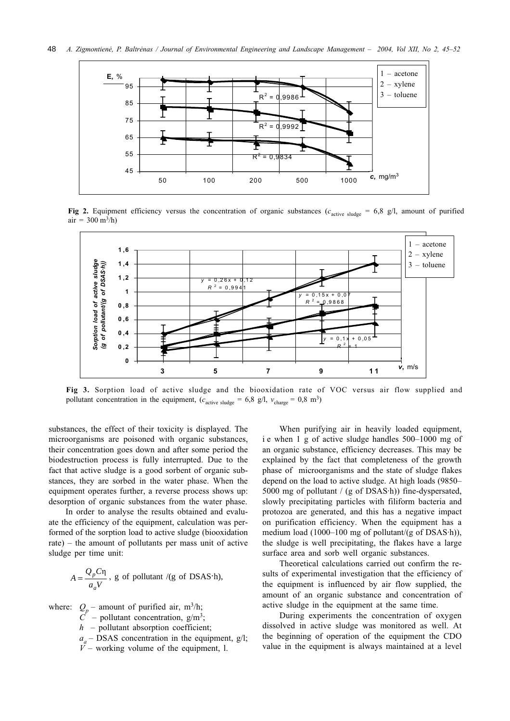

Fig 2. Equipment efficiency versus the concentration of organic substances ( $c_{\text{active sludge}} = 6.8$  g/l, amount of purified  $air = 300 \text{ m}^3/h$ 



Fig 3. Sorption load of active sludge and the biooxidation rate of VOC versus air flow supplied and pollutant concentration in the equipment,  $(c_{\text{active sludge}} = 6.8 \text{ g/l}, v_{\text{charge}} = 0.8 \text{ m}^3)$ 

substances, the effect of their toxicity is displayed. The microorganisms are poisoned with organic substances, their concentration goes down and after some period the biodestruction process is fully interrupted. Due to the fact that active sludge is a good sorbent of organic substances, they are sorbed in the water phase. When the equipment operates further, a reverse process shows up: desorption of organic substances from the water phase.

In order to analyse the results obtained and evaluate the efficiency of the equipment, calculation was performed of the sorption load to active sludge (biooxidation rate) – the amount of pollutants per mass unit of active sludge per time unit:

$$
A = \frac{Q_p C \eta}{a_a V}
$$
, g of pollutant /(g of DSAS·h),

where: 
$$
Q_p
$$
 – amount of purified air, m<sup>3</sup>/h;  
\nC – pollutant concentration, g/m<sup>3</sup>;  
\nh – pollutant absorption coefficient;  
\na<sub>a</sub> – DSAS concentration in the equipment, g/l;  
\nV – working volume of the equipment, l.

When purifying air in heavily loaded equipment, i e when 1 g of active sludge handles 500-1000 mg of an organic substance, efficiency decreases. This may be explained by the fact that completeness of the growth phase of microorganisms and the state of sludge flakes depend on the load to active sludge. At high loads (9850– 5000 mg of pollutant / (g of DSAS·h)) fine-dyspersated, slowly precipitating particles with filiform bacteria and protozoa are generated, and this has a negative impact on purification efficiency. When the equipment has a medium load (1000–100 mg of pollutant/ $(g$  of DSAS·h)), the sludge is well precipitating, the flakes have a large surface area and sorb well organic substances.

Theoretical calculations carried out confirm the results of experimental investigation that the efficiency of the equipment is influenced by air flow supplied, the amount of an organic substance and concentration of active sludge in the equipment at the same time.

During experiments the concentration of oxygen dissolved in active sludge was monitored as well. At the beginning of operation of the equipment the CDO value in the equipment is always maintained at a level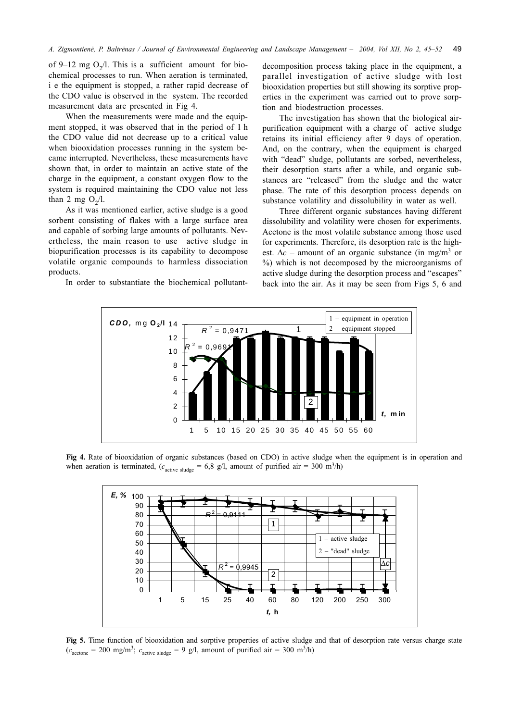of 9–12 mg  $O_2/l$ . This is a sufficient amount for biochemical processes to run. When aeration is terminated, i e the equipment is stopped, a rather rapid decrease of the CDO value is observed in the system. The recorded measurement data are presented in Fig 4.

When the measurements were made and the equipment stopped, it was observed that in the period of 1 h the CDO value did not decrease up to a critical value when biooxidation processes running in the system became interrupted. Nevertheless, these measurements have shown that, in order to maintain an active state of the charge in the equipment, a constant oxygen flow to the system is required maintaining the CDO value not less than 2 mg  $O_2/l$ .

As it was mentioned earlier, active sludge is a good sorbent consisting of flakes with a large surface area and capable of sorbing large amounts of pollutants. Nevertheless, the main reason to use active sludge in biopurification processes is its capability to decompose volatile organic compounds to harmless dissociation products.

In order to substantiate the biochemical pollutant-

decomposition process taking place in the equipment, a parallel investigation of active sludge with lost biooxidation properties but still showing its sorptive properties in the experiment was carried out to prove sorption and biodestruction processes.

The investigation has shown that the biological airpurification equipment with a charge of active sludge retains its initial efficiency after 9 days of operation. And, on the contrary, when the equipment is charged with "dead" sludge, pollutants are sorbed, nevertheless, their desorption starts after a while, and organic substances are "released" from the sludge and the water phase. The rate of this desorption process depends on substance volatility and dissolubility in water as well.

Three different organic substances having different dissolubility and volatility were chosen for experiments. Acetone is the most volatile substance among those used for experiments. Therefore, its desorption rate is the highest.  $\Delta c$  – amount of an organic substance (in mg/m<sup>3</sup> or %) which is not decomposed by the microorganisms of active sludge during the desorption process and "escapes" back into the air. As it may be seen from Figs 5, 6 and



Fig 4. Rate of biooxidation of organic substances (based on CDO) in active sludge when the equipment is in operation and when aeration is terminated,  $(c_{\text{active sludge}} = 6.8 \text{ g/l})$ , amount of purified air = 300 m<sup>3</sup>/h)



Fig 5. Time function of biooxidation and sorptive properties of active sludge and that of desorption rate versus charge state  $(c_{\text{acetone}} = 200 \text{ mg/m}^3; c_{\text{active sludge}} = 9 \text{ g/l, amount of purified air} = 300 \text{ m}^3/\text{h})$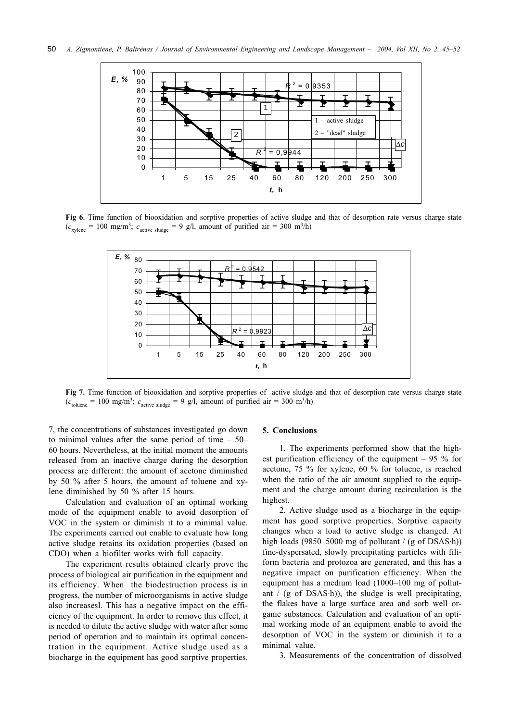

Fig 6. Time function of biooxidation and sorptive properties of active sludge and that of desorption rate versus charge state  $(c_{\text{xylene}} = 100 \text{ mg/m}^3$ ;  $c_{\text{active sludge}} = 9 \text{ g/l}$ , amount of purified air = 300 m<sup>3</sup>/h)



Fig 7. Time function of biooxidation and sorptive properties of active sludge and that of desorption rate versus charge state  $(c<sub>toluene</sub> = 100 mg/m<sup>3</sup>; c<sub>active slude</sub> = 9 g/l, amount of purified air = 300 m<sup>3</sup>/h)$ 

7, the concentrations of substances investigated go down to minimal values after the same period of time  $-50$ 60 hours. Nevertheless, at the initial moment the amounts released from an inactive charge during the desorption process are different: the amount of acetone diminished by 50 % after 5 hours, the amount of toluene and xylene diminished by 50 % after 15 hours.

Calculation and evaluation of an optimal working mode of the equipment enable to avoid desorption of VOC in the system or diminish it to a minimal value. The experiments carried out enable to evaluate how long active sludge retains its oxidation properties (based on CDO) when a biofilter works with full capacity.

The experiment results obtained clearly prove the process of biological air purification in the equipment and its efficiency. When the biodestruction process is in progress, the number of microorganisms in active sludge also increasesl. This has a negative impact on the efficiency of the equipment. In order to remove this effect, it is needed to dilute the active sludge with water after some period of operation and to maintain its optimal concentration in the equipment. Active sludge used as a biocharge in the equipment has good sorptive properties.

#### 5. Conclusions

1. The experiments performed show that the highest purification efficiency of the equipment  $-95\%$  for acetone, 75 % for xylene, 60 % for toluene, is reached when the ratio of the air amount supplied to the equipment and the charge amount during recirculation is the highest.

2. Active sludge used as a biocharge in the equipment has good sorptive properties. Sorptive capacity changes when a load to active sludge is changed. At high loads (9850–5000 mg of pollutant / (g of DSAS $\cdot$ h)) fine-dyspersated, slowly precipitating particles with filiform bacteria and protozoa are generated, and this has a negative impact on purification efficiency. When the equipment has a medium load  $(1000-100 \text{ mg of pollut-}$ ant  $/$  (g of DSAS $\cdot$ h)), the sludge is well precipitating, the flakes have a large surface area and sorb well organic substances. Calculation and evaluation of an optimal working mode of an equipment enable to avoid the desorption of VOC in the system or diminish it to a minimal value.

3. Measurements of the concentration of dissolved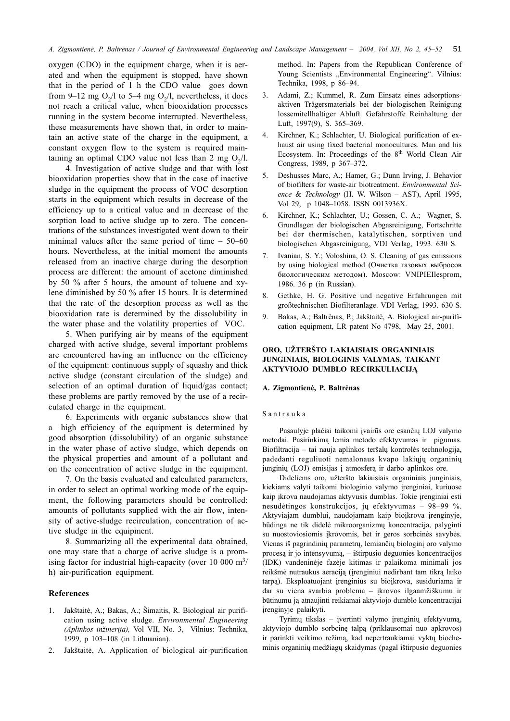oxygen (CDO) in the equipment charge, when it is aerated and when the equipment is stopped, have shown that in the period of 1 h the CDO value goes down from 9–12 mg  $O_2/l$  to 5–4 mg  $O_2/l$ , nevertheless, it does not reach a critical value, when biooxidation processes running in the system become interrupted. Nevertheless, these measurements have shown that, in order to maintain an active state of the charge in the equipment, a constant oxygen flow to the system is required maintaining an optimal CDO value not less than 2 mg  $O<sub>2</sub>/l$ .

4. Investigation of active sludge and that with lost biooxidation properties show that in the case of inactive sludge in the equipment the process of VOC desorption starts in the equipment which results in decrease of the efficiency up to a critical value and in decrease of the sorption load to active sludge up to zero. The concentrations of the substances investigated went down to their minimal values after the same period of time  $-50-60$ hours. Nevertheless, at the initial moment the amounts released from an inactive charge during the desorption process are different: the amount of acetone diminished by 50 % after 5 hours, the amount of toluene and xylene diminished by 50 % after 15 hours. It is determined that the rate of the desorption process as well as the biooxidation rate is determined by the dissolubility in the water phase and the volatility properties of VOC.

5. When purifying air by means of the equipment charged with active sludge, several important problems are encountered having an influence on the efficiency of the equipment: continuous supply of squashy and thick active sludge (constant circulation of the sludge) and selection of an optimal duration of liquid/gas contact; these problems are partly removed by the use of a recirculated charge in the equipment.

6. Experiments with organic substances show that a high efficiency of the equipment is determined by good absorption (dissolubility) of an organic substance in the water phase of active sludge, which depends on the physical properties and amount of a pollutant and on the concentration of active sludge in the equipment.

7. On the basis evaluated and calculated parameters, in order to select an optimal working mode of the equipment, the following parameters should be controlled: amounts of pollutants supplied with the air flow, intensity of active-sludge recirculation, concentration of active sludge in the equipment.

8. Summarizing all the experimental data obtained, one may state that a charge of active sludge is a promising factor for industrial high-capacity (over 10 000  $m^3$ ) h) air-purification equipment.

#### **References**

- Jakštaitė, A.; Bakas, A.; Šimaitis, R. Biological air purifi- $1.$ cation using active sludge. Environmental Engineering (Aplinkos inžinerija), Vol VII, No. 3, Vilnius: Technika, 1999, p 103-108 (in Lithuanian).
- 2. Jakštaitė, A. Application of biological air-purification

method. In: Papers from the Republican Conference of Young Scientists "Environmental Engineering". Vilnius: Technika, 1998, p 86-94.

- Adami, Z.; Kummel, R. Zum Einsatz eines adsorptions-3. aktiven Trägersmaterials bei der biologischen Reinigung lossemitellhaltiger Abluft. Gefahrstoffe Reinhaltung der Luft, 1997(9), S. 365-369.
- Kirchner, K.; Schlachter, U. Biological purification of ex-4. haust air using fixed bacterial monocultures. Man and his Ecosystem. In: Proceedings of the 8th World Clean Air Congress, 1989, p 367-372.
- Deshusses Marc, A.; Hamer, G.; Dunn Irving, J. Behavior  $5<sub>1</sub>$ of biofilters for waste-air biotreatment. Environmental Science & Technology (H. W. Wilson - AST), April 1995, Vol 29, p 1048-1058. ISSN 0013936X.
- Kirchner, K.; Schlachter, U.; Gossen, C. A.; Wagner, S. Grundlagen der biologischen Abgasreinigung, Fortschritte bei der thermischen, katalytischen, sorptiven und biologischen Abgasreinigung, VDI Verlag, 1993. 630 S.
- $7<sub>1</sub>$ Ivanian, S. Y.; Voloshina, O. S. Cleaning of gas emissions by using biological method (Очистка газовых выбросов биологическим методом). Moscow: VNIPIEIlesprom, 1986. 36 p (in Russian).
- Gethke, H. G. Positive und negative Erfahrungen mit 8. großtechnischen Biofilteranlage. VDI Verlag, 1993. 630 S.
- $\mathbf Q$ Bakas, A.; Baltrėnas, P.; Jakštaitė, A. Biological air-purification equipment, LR patent No 4798, May 25, 2001.

# ORO, UŽTERŠTO LAKIAISIAIS ORGANINIAIS JUNGINIAIS, BIOLOGINIS VALYMAS, TAIKANT **AKTYVIOJO DUMBLO RECIRKULIACIJĄ**

#### A. Zigmontienė, P. Baltrėnas

#### Santrauka

Pasaulyje plačiai taikomi įvairūs ore esančių LOJ valymo metodai. Pasirinkima lemia metodo efektyvumas ir pigumas. Biofiltracija – tai nauja aplinkos teršalų kontrolės technologija, padedanti reguliuoti nemalonaus kvapo lakiuju organinių junginių (LOJ) emisijas į atmosferą ir darbo aplinkos ore.

Dideliems oro, užteršto lakiaisiais organiniais junginiais, kiekiams valyti taikomi biologinio valymo įrenginiai, kuriuose kaip įkrova naudojamas aktyvusis dumblas. Tokie įrenginiai esti nesudėtingos konstrukcijos, jų efektyvumas – 98–99 %. Aktyviajam dumblui, naudojamam kaip bioįkrova įrenginyje, būdinga ne tik didelė mikroorganizmų koncentracija, palyginti su nuostoviosiomis įkrovomis, bet ir geros sorbcinės savybės. Vienas iš pagrindinių parametrų, lemiančių biologinį oro valymo procesą ir jo intensyvumą, – ištirpusio deguonies koncentracijos (IDK) vandeninėje fazėje kitimas ir palaikoma minimali jos reikšmė nutraukus aeraciją (įrenginiui nedirbant tam tikrą laiko tarpa). Eksploatuojant įrenginius su bioįkrova, susiduriama ir dar su viena svarbia problema - įkrovos ilgaamžiškumu ir būtinumu ją atnaujinti reikiamai aktyviojo dumblo koncentracijai įrenginyje palaikyti.

Tyrimų tikslas - įvertinti valymo įrenginių efektyvumą, aktyviojo dumblo sorbcinę talpą (priklausomai nuo apkrovos) ir parinkti veikimo režimą, kad nepertraukiamai vyktų biocheminis organinių medžiagų skaidymas (pagal ištirpusio deguonies